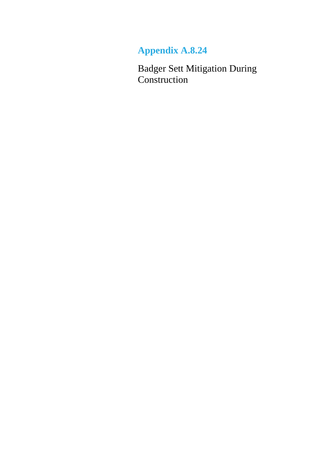## **Appendix A.8.24**

Badger Sett Mitigation During Construction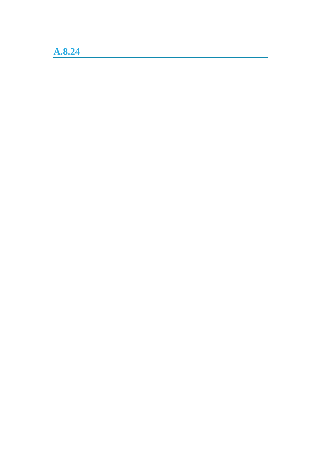**A.8.24**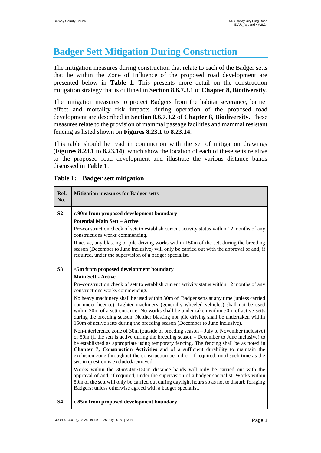## **Badger Sett Mitigation During Construction**

The mitigation measures during construction that relate to each of the Badger setts that lie within the Zone of Influence of the proposed road development are presented below in **Table 1**. This presents more detail on the construction mitigation strategy that is outlined in **Section 8.6.7.3.1** of **Chapter 8, Biodiversity**.

The mitigation measures to protect Badgers from the habitat severance, barrier effect and mortality risk impacts during operation of the proposed road development are described in **Section 8.6.7.3.2** of **Chapter 8, Biodiversity**. These measures relate to the provision of mammal passage facilities and mammal resistant fencing as listed shown on **Figures 8.23.1** to **8.23.14**.

This table should be read in conjunction with the set of mitigation drawings (**Figures 8.23.1** to **8.23.14**), which show the location of each of these setts relative to the proposed road development and illustrate the various distance bands discussed in **Table 1**.

| Ref.<br>No.    | <b>Mitigation measures for Badger setts</b>                                                                                                                                                                                                                                                                                                                                                                                                                                                               |
|----------------|-----------------------------------------------------------------------------------------------------------------------------------------------------------------------------------------------------------------------------------------------------------------------------------------------------------------------------------------------------------------------------------------------------------------------------------------------------------------------------------------------------------|
| S <sub>2</sub> | c.90m from proposed development boundary                                                                                                                                                                                                                                                                                                                                                                                                                                                                  |
|                | <b>Potential Main Sett - Active</b>                                                                                                                                                                                                                                                                                                                                                                                                                                                                       |
|                | Pre-construction check of sett to establish current activity status within 12 months of any<br>constructions works commencing.                                                                                                                                                                                                                                                                                                                                                                            |
|                | If active, any blasting or pile driving works within 150m of the sett during the breeding<br>season (December to June inclusive) will only be carried out with the approval of and, if<br>required, under the supervision of a badger specialist.                                                                                                                                                                                                                                                         |
| S <sub>3</sub> | <5m from proposed development boundary                                                                                                                                                                                                                                                                                                                                                                                                                                                                    |
|                | <b>Main Sett - Active</b>                                                                                                                                                                                                                                                                                                                                                                                                                                                                                 |
|                | Pre-construction check of sett to establish current activity status within 12 months of any<br>constructions works commencing.                                                                                                                                                                                                                                                                                                                                                                            |
|                | No heavy machinery shall be used within 30m of Badger setts at any time (unless carried<br>out under licence). Lighter machinery (generally wheeled vehicles) shall not be used<br>within 20m of a sett entrance. No works shall be under taken within 50m of active setts<br>during the breeding season. Neither blasting nor pile driving shall be undertaken within<br>150m of active setts during the breeding season (December to June inclusive).                                                   |
|                | Non-interference zone of 30m (outside of breeding season – July to November inclusive)<br>or 50m (if the sett is active during the breeding season - December to June inclusive) to<br>be established as appropriate using temporary fencing. The fencing shall be as noted in<br>Chapter 7, Construction Activities and of a sufficient durability to maintain the<br>exclusion zone throughout the construction period or, if required, until such time as the<br>sett in question is excluded/removed. |
|                | Works within the 30m/50m/150m distance bands will only be carried out with the<br>approval of and, if required, under the supervision of a badger specialist. Works within<br>50m of the sett will only be carried out during daylight hours so as not to disturb foraging<br>Badgers; unless otherwise agreed with a badger specialist.                                                                                                                                                                  |
| <b>S4</b>      | c.85m from proposed development boundary                                                                                                                                                                                                                                                                                                                                                                                                                                                                  |

**Table 1: Badger sett mitigation**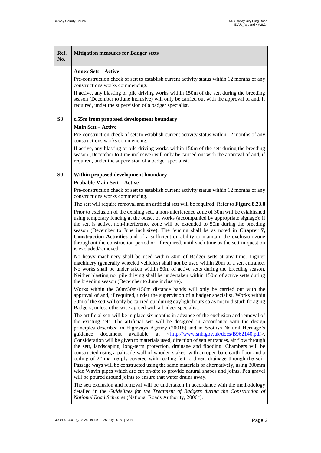$\blacksquare$ 

i.

| Ref.<br>No. | <b>Mitigation measures for Badger setts</b>                                                                                                                                                                                                                                                                                                                                                                                                                                                                                                                                                                                                                                                                                                                                                                                                                                                                                                                                                                                                                                                                                                                                                                                                                                                                                                                                                                                                                                                                                                                                                                                                                                                                                                                                                                                                                                                                                                                                                                                                                                                                                                                                                                                                                                                                                                                                                                                                                                                                                                                                                                                                                                                                                                                                                                                                                                                                                                                             |
|-------------|-------------------------------------------------------------------------------------------------------------------------------------------------------------------------------------------------------------------------------------------------------------------------------------------------------------------------------------------------------------------------------------------------------------------------------------------------------------------------------------------------------------------------------------------------------------------------------------------------------------------------------------------------------------------------------------------------------------------------------------------------------------------------------------------------------------------------------------------------------------------------------------------------------------------------------------------------------------------------------------------------------------------------------------------------------------------------------------------------------------------------------------------------------------------------------------------------------------------------------------------------------------------------------------------------------------------------------------------------------------------------------------------------------------------------------------------------------------------------------------------------------------------------------------------------------------------------------------------------------------------------------------------------------------------------------------------------------------------------------------------------------------------------------------------------------------------------------------------------------------------------------------------------------------------------------------------------------------------------------------------------------------------------------------------------------------------------------------------------------------------------------------------------------------------------------------------------------------------------------------------------------------------------------------------------------------------------------------------------------------------------------------------------------------------------------------------------------------------------------------------------------------------------------------------------------------------------------------------------------------------------------------------------------------------------------------------------------------------------------------------------------------------------------------------------------------------------------------------------------------------------------------------------------------------------------------------------------------------------|
|             | <b>Annex Sett - Active</b><br>Pre-construction check of sett to establish current activity status within 12 months of any<br>constructions works commencing.<br>If active, any blasting or pile driving works within 150m of the sett during the breeding<br>season (December to June inclusive) will only be carried out with the approval of and, if<br>required, under the supervision of a badger specialist.                                                                                                                                                                                                                                                                                                                                                                                                                                                                                                                                                                                                                                                                                                                                                                                                                                                                                                                                                                                                                                                                                                                                                                                                                                                                                                                                                                                                                                                                                                                                                                                                                                                                                                                                                                                                                                                                                                                                                                                                                                                                                                                                                                                                                                                                                                                                                                                                                                                                                                                                                       |
| S8          | c.55m from proposed development boundary<br><b>Main Sett - Active</b><br>Pre-construction check of sett to establish current activity status within 12 months of any<br>constructions works commencing.<br>If active, any blasting or pile driving works within 150m of the sett during the breeding<br>season (December to June inclusive) will only be carried out with the approval of and, if<br>required, under the supervision of a badger specialist.                                                                                                                                                                                                                                                                                                                                                                                                                                                                                                                                                                                                                                                                                                                                                                                                                                                                                                                                                                                                                                                                                                                                                                                                                                                                                                                                                                                                                                                                                                                                                                                                                                                                                                                                                                                                                                                                                                                                                                                                                                                                                                                                                                                                                                                                                                                                                                                                                                                                                                            |
| S9          | Within proposed development boundary<br><b>Probable Main Sett - Active</b><br>Pre-construction check of sett to establish current activity status within 12 months of any<br>constructions works commencing.<br>The sett will require removal and an artificial sett will be required. Refer to <b>Figure 8.23.8</b><br>Prior to exclusion of the existing sett, a non-interference zone of 30m will be established<br>using temporary fencing at the outset of works (accompanied by appropriate signage); if<br>the sett is active, non-interference zone will be extended to 50m during the breeding<br>season (December to June inclusive). The fencing shall be as noted in Chapter 7,<br><b>Construction Activities</b> and of a sufficient durability to maintain the exclusion zone<br>throughout the construction period or, if required, until such time as the sett in question<br>is excluded/removed.<br>No heavy machinery shall be used within 30m of Badger setts at any time. Lighter<br>machinery (generally wheeled vehicles) shall not be used within 20m of a sett entrance.<br>No works shall be under taken within 50m of active setts during the breeding season.<br>Neither blasting nor pile driving shall be undertaken within 150m of active setts during<br>the breeding season (December to June inclusive).<br>Works within the 30m/50m/150m distance bands will only be carried out with the<br>approval of and, if required, under the supervision of a badger specialist. Works within<br>50m of the sett will only be carried out during daylight hours so as not to disturb foraging<br>Badgers; unless otherwise agreed with a badger specialist.<br>The artificial sett will be in place six months in advance of the exclusion and removal of<br>the existing sett. The artificial sett will be designed in accordance with the design<br>principles described in Highways Agency (2001b) and in Scottish Natural Heritage's<br>document<br>available<br><http: b962140.pdf="" docs="" www.snh.gov.uk="">.<br/>guidance<br/>at<br/>Consideration will be given to materials used, direction of sett entrances, air flow through<br/>the sett, landscaping, long-term protection, drainage and flooding. Chambers will be<br/>constructed using a palisade-wall of wooden stakes, with an open bare earth floor and a<br/>ceiling of 2" marine ply covered with roofing felt to divert drainage through the soil.<br/>Passage ways will be constructed using the same materials or alternatively, using 300mm<br/>wide Wavin pipes which are cut on-site to provide natural shapes and joints. Pea gravel<br/>will be poured around joints to ensure that water drains away.<br/>The sett exclusion and removal will be undertaken in accordance with the methodology<br/>detailed in the Guidelines for the Treatment of Badgers during the Construction of<br/>National Road Schemes (National Roads Authority, 2006c).</http:> |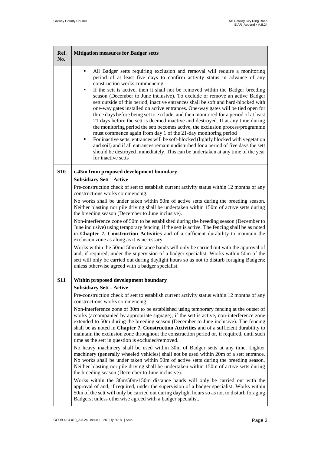$\blacksquare$ 

i.

| Ref.<br>No. | <b>Mitigation measures for Badger setts</b>                                                                                                                                                                                                                                                                                                                                                                                                                                                                                                                                                                                                                                                                                                                                                                                                                                                                                                                                                                                                                                                                                                               |
|-------------|-----------------------------------------------------------------------------------------------------------------------------------------------------------------------------------------------------------------------------------------------------------------------------------------------------------------------------------------------------------------------------------------------------------------------------------------------------------------------------------------------------------------------------------------------------------------------------------------------------------------------------------------------------------------------------------------------------------------------------------------------------------------------------------------------------------------------------------------------------------------------------------------------------------------------------------------------------------------------------------------------------------------------------------------------------------------------------------------------------------------------------------------------------------|
|             | All Badger setts requiring exclusion and removal will require a monitoring<br>period of at least five days to confirm activity status in advance of any<br>construction works commencing<br>If the sett is active, then it shall not be removed within the Badger breeding<br>season (December to June inclusive). To exclude or remove an active Badger<br>sett outside of this period, inactive entrances shall be soft and hard-blocked with<br>one-way gates installed on active entrances. One-way gates will be tied open for<br>three days before being set to exclude, and then monitored for a period of at least<br>21 days before the sett is deemed inactive and destroyed. If at any time during<br>the monitoring period the sett becomes active, the exclusion process/programme<br>must commence again from day 1 of the 21-day monitoring period<br>For inactive setts, entrances will be soft-blocked (lightly blocked with vegetation<br>and soil) and if all entrances remain undisturbed for a period of five days the sett<br>should be destroyed immediately. This can be undertaken at any time of the year<br>for inactive setts |
| <b>S10</b>  | c.45m from proposed development boundary                                                                                                                                                                                                                                                                                                                                                                                                                                                                                                                                                                                                                                                                                                                                                                                                                                                                                                                                                                                                                                                                                                                  |
|             | <b>Subsidiary Sett - Active</b><br>Pre-construction check of sett to establish current activity status within 12 months of any<br>constructions works commencing.                                                                                                                                                                                                                                                                                                                                                                                                                                                                                                                                                                                                                                                                                                                                                                                                                                                                                                                                                                                         |
|             | No works shall be under taken within 50m of active setts during the breeding season.<br>Neither blasting nor pile driving shall be undertaken within 150m of active setts during<br>the breeding season (December to June inclusive).                                                                                                                                                                                                                                                                                                                                                                                                                                                                                                                                                                                                                                                                                                                                                                                                                                                                                                                     |
|             | Non-interference zone of 50m to be established during the breeding season (December to<br>June inclusive) using temporary fencing, if the sett is active. The fencing shall be as noted<br>in Chapter 7, Construction Activities and of a sufficient durability to maintain the<br>exclusion zone as along as it is necessary.                                                                                                                                                                                                                                                                                                                                                                                                                                                                                                                                                                                                                                                                                                                                                                                                                            |
|             | Works within the 50m/150m distance bands will only be carried out with the approval of<br>and, if required, under the supervision of a badger specialist. Works within 50m of the<br>sett will only be carried out during daylight hours so as not to disturb foraging Badgers;<br>unless otherwise agreed with a badger specialist.                                                                                                                                                                                                                                                                                                                                                                                                                                                                                                                                                                                                                                                                                                                                                                                                                      |
| <b>S11</b>  | Within proposed development boundary                                                                                                                                                                                                                                                                                                                                                                                                                                                                                                                                                                                                                                                                                                                                                                                                                                                                                                                                                                                                                                                                                                                      |
|             | <b>Subsidiary Sett - Active</b><br>Pre-construction check of sett to establish current activity status within 12 months of any<br>constructions works commencing.                                                                                                                                                                                                                                                                                                                                                                                                                                                                                                                                                                                                                                                                                                                                                                                                                                                                                                                                                                                         |
|             | Non-interference zone of 30m to be established using temporary fencing at the outset of<br>works (accompanied by appropriate signage); if the sett is active, non-interference zone<br>extended to 50m during the breeding season (December to June inclusive). The fencing<br>shall be as noted in Chapter 7, Construction Activities and of a sufficient durability to<br>maintain the exclusion zone throughout the construction period or, if required, until such<br>time as the sett in question is excluded/removed.                                                                                                                                                                                                                                                                                                                                                                                                                                                                                                                                                                                                                               |
|             | No heavy machinery shall be used within 30m of Badger setts at any time. Lighter<br>machinery (generally wheeled vehicles) shall not be used within 20m of a sett entrance.<br>No works shall be under taken within 50m of active setts during the breeding season.<br>Neither blasting nor pile driving shall be undertaken within 150m of active setts during<br>the breeding season (December to June inclusive).                                                                                                                                                                                                                                                                                                                                                                                                                                                                                                                                                                                                                                                                                                                                      |
|             | Works within the 30m/50m/150m distance bands will only be carried out with the<br>approval of and, if required, under the supervision of a badger specialist. Works within<br>50m of the sett will only be carried out during daylight hours so as not to disturb foraging<br>Badgers; unless otherwise agreed with a badger specialist.                                                                                                                                                                                                                                                                                                                                                                                                                                                                                                                                                                                                                                                                                                                                                                                                                  |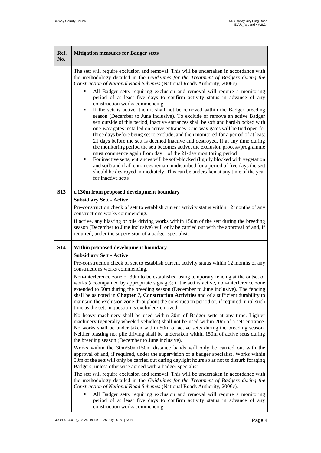Ē.

L,

| Ref.<br>No. | <b>Mitigation measures for Badger setts</b>                                                                                                                                                                                                                                                                                                                                                                                                                                                                                                                                                                                                                                                                                                                                                                                                                                                                                                                                                                                                                                                                                                                    |
|-------------|----------------------------------------------------------------------------------------------------------------------------------------------------------------------------------------------------------------------------------------------------------------------------------------------------------------------------------------------------------------------------------------------------------------------------------------------------------------------------------------------------------------------------------------------------------------------------------------------------------------------------------------------------------------------------------------------------------------------------------------------------------------------------------------------------------------------------------------------------------------------------------------------------------------------------------------------------------------------------------------------------------------------------------------------------------------------------------------------------------------------------------------------------------------|
|             | The sett will require exclusion and removal. This will be undertaken in accordance with<br>the methodology detailed in the Guidelines for the Treatment of Badgers during the<br>Construction of National Road Schemes (National Roads Authority, 2006c).                                                                                                                                                                                                                                                                                                                                                                                                                                                                                                                                                                                                                                                                                                                                                                                                                                                                                                      |
|             | All Badger setts requiring exclusion and removal will require a monitoring<br>period of at least five days to confirm activity status in advance of any<br>construction works commencing<br>If the sett is active, then it shall not be removed within the Badger breeding<br>п<br>season (December to June inclusive). To exclude or remove an active Badger<br>sett outside of this period, inactive entrances shall be soft and hard-blocked with<br>one-way gates installed on active entrances. One-way gates will be tied open for<br>three days before being set to exclude, and then monitored for a period of at least<br>21 days before the sett is deemed inactive and destroyed. If at any time during<br>the monitoring period the sett becomes active, the exclusion process/programme<br>must commence again from day 1 of the 21-day monitoring period<br>For inactive setts, entrances will be soft-blocked (lightly blocked with vegetation<br>and soil) and if all entrances remain undisturbed for a period of five days the sett<br>should be destroyed immediately. This can be undertaken at any time of the year<br>for inactive setts |
| <b>S13</b>  | c.130m from proposed development boundary<br><b>Subsidiary Sett - Active</b>                                                                                                                                                                                                                                                                                                                                                                                                                                                                                                                                                                                                                                                                                                                                                                                                                                                                                                                                                                                                                                                                                   |
|             | Pre-construction check of sett to establish current activity status within 12 months of any<br>constructions works commencing.                                                                                                                                                                                                                                                                                                                                                                                                                                                                                                                                                                                                                                                                                                                                                                                                                                                                                                                                                                                                                                 |
|             | If active, any blasting or pile driving works within 150m of the sett during the breeding<br>season (December to June inclusive) will only be carried out with the approval of and, if<br>required, under the supervision of a badger specialist.                                                                                                                                                                                                                                                                                                                                                                                                                                                                                                                                                                                                                                                                                                                                                                                                                                                                                                              |
| <b>S14</b>  | Within proposed development boundary<br><b>Subsidiary Sett - Active</b>                                                                                                                                                                                                                                                                                                                                                                                                                                                                                                                                                                                                                                                                                                                                                                                                                                                                                                                                                                                                                                                                                        |
|             | Pre-construction check of sett to establish current activity status within 12 months of any<br>constructions works commencing.                                                                                                                                                                                                                                                                                                                                                                                                                                                                                                                                                                                                                                                                                                                                                                                                                                                                                                                                                                                                                                 |
|             | Non-interference zone of 30m to be established using temporary fencing at the outset of<br>works (accompanied by appropriate signage); if the sett is active, non-interference zone<br>extended to 50m during the breeding season (December to June inclusive). The fencing<br>shall be as noted in Chapter 7, Construction Activities and of a sufficient durability to<br>maintain the exclusion zone throughout the construction period or, if required, until such<br>time as the sett in question is excluded/removed.                                                                                                                                                                                                                                                                                                                                                                                                                                                                                                                                                                                                                                    |
|             | No heavy machinery shall be used within 30m of Badger setts at any time. Lighter<br>machinery (generally wheeled vehicles) shall not be used within 20m of a sett entrance.<br>No works shall be under taken within 50m of active setts during the breeding season.<br>Neither blasting nor pile driving shall be undertaken within 150m of active setts during<br>the breeding season (December to June inclusive).                                                                                                                                                                                                                                                                                                                                                                                                                                                                                                                                                                                                                                                                                                                                           |
|             | Works within the 30m/50m/150m distance bands will only be carried out with the<br>approval of and, if required, under the supervision of a badger specialist. Works within<br>50m of the sett will only be carried out during daylight hours so as not to disturb foraging<br>Badgers; unless otherwise agreed with a badger specialist.                                                                                                                                                                                                                                                                                                                                                                                                                                                                                                                                                                                                                                                                                                                                                                                                                       |
|             | The sett will require exclusion and removal. This will be undertaken in accordance with<br>the methodology detailed in the Guidelines for the Treatment of Badgers during the<br>Construction of National Road Schemes (National Roads Authority, 2006c).                                                                                                                                                                                                                                                                                                                                                                                                                                                                                                                                                                                                                                                                                                                                                                                                                                                                                                      |
|             | All Badger setts requiring exclusion and removal will require a monitoring<br>period of at least five days to confirm activity status in advance of any<br>construction works commencing                                                                                                                                                                                                                                                                                                                                                                                                                                                                                                                                                                                                                                                                                                                                                                                                                                                                                                                                                                       |